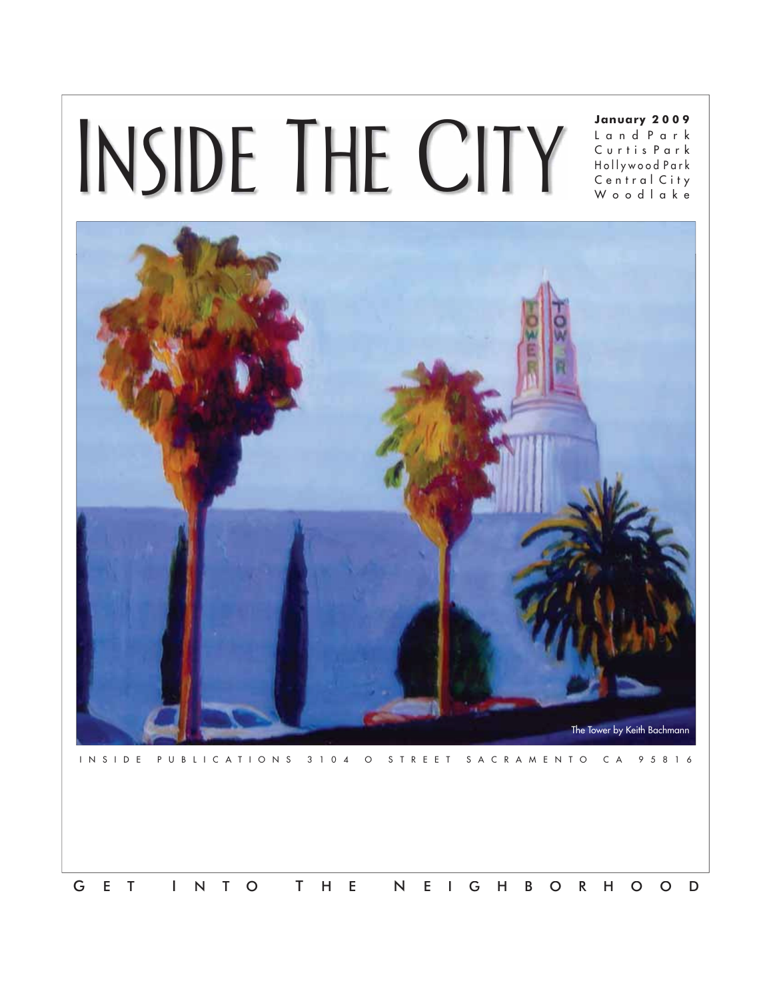## INSIDE THE CITY

## **January 2 0 0 9**

L a n d P a r k C u r t i s P a r k H o l l y w o o d P a r k C e n t r a l C i t y W o o d l a k e